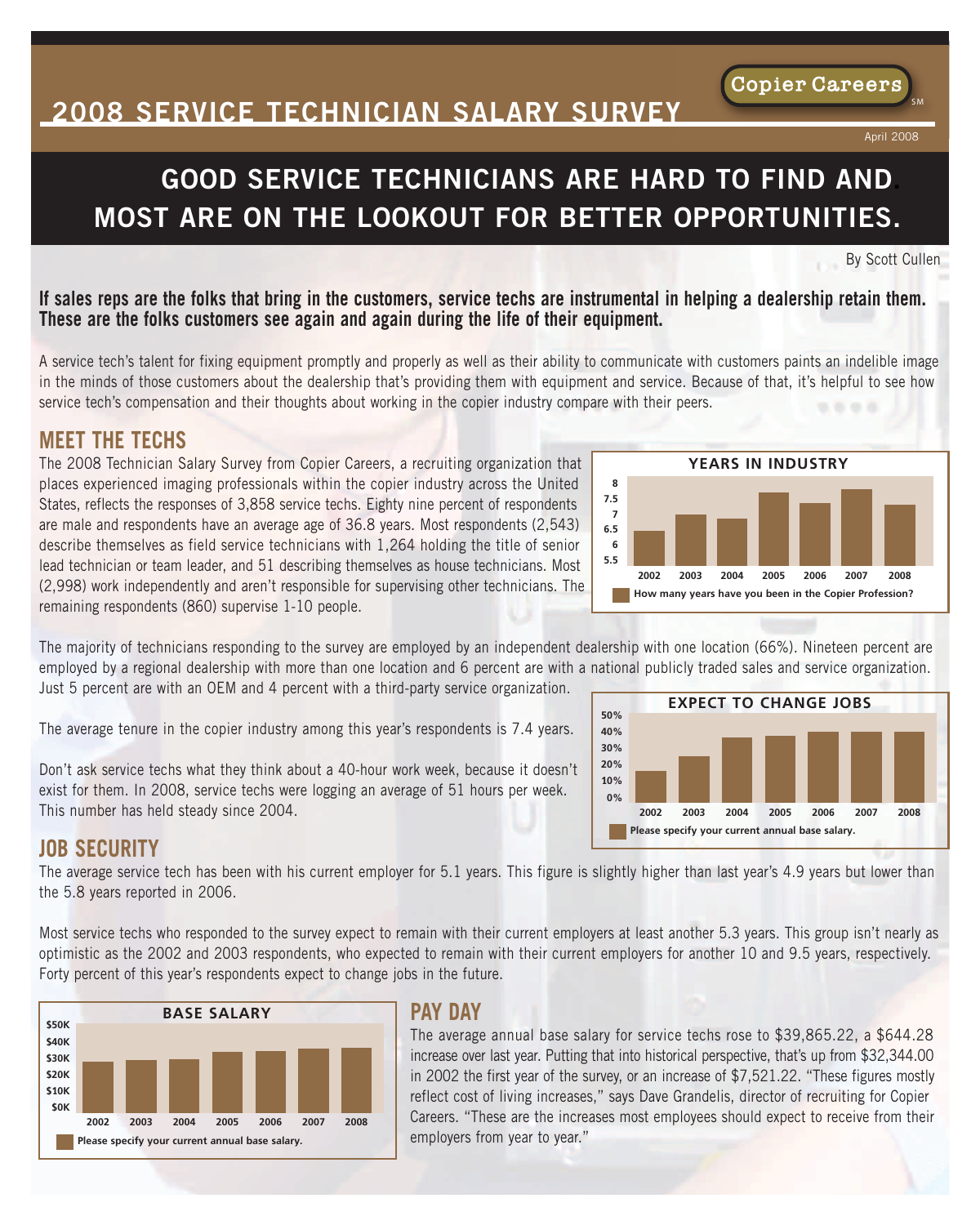# **2008 SERVICE TECHNICIAN SALARY SURVEY**

# **GOOD SERVICE TECHNICIANS ARE HARD TO FIND AND. MOST ARE ON THE LOOKOUT FOR BETTER OPPORTUNITIES.**

By Scott Cullen

April 2008

**Copier Careers** 

S M<br>S M

#### If sales reps are the folks that bring in the customers, service techs are instrumental in helping a dealership retain them. **These are the folks customers see again and again during the life of their equipment.**

A service tech's talent for fixing equipment promptly and properly as well as their ability to communicate with customers paints an indelible image in the minds of those customers about the dealership that's providing them with equipment and service. Because of that, it's helpful to see how service tech's compensation and their thoughts about working in the copier industry compare with their peers.

#### **MEET THE TECHS**

The 2008 Technician Salary Survey from Copier Careers, a recruiting organization that places experienced imaging professionals within the copier industry across the United States, reflects the responses of 3,858 service techs. Eighty nine percent of respondents are male and respondents have an average age of 36.8 years. Most respondents (2,543) describe themselves as field service technicians with 1,264 holding the title of senior lead technician or team leader, and 51 describing themselves as house technicians. Most (2,998) work independently and aren't responsible for supervising other technicians. The remaining respondents (860) supervise 1-10 people.

The majority of technicians responding to the survey are employed by an independent dealership with one location (66%). Nineteen percent are employed by a regional dealership with more than one location and 6 percent are with a national publicly traded sales and service organization. Just 5 percent are with an OEM and 4 percent with a third-party service organization.

The average tenure in the copier industry among this year's respondents is 7.4 years.

Don't ask service techs what they think about a 40-hour work week, because it doesn't exist for them. In 2008, service techs were logging an average of 51 hours per week. This number has held steady since 2004.



### **JOB SECURITY**

The average service tech has been with his current employer for 5.1 years. This figure is slightly higher than last year's 4.9 years but lower than the 5.8 years reported in 2006.

Most service techs who responded to the survey expect to remain with their current employers at least another 5.3 years. This group isn't nearly as optimistic as the 2002 and 2003 respondents, who expected to remain with their current employers for another 10 and 9.5 years, respectively. Forty percent of this year's respondents expect to change jobs in the future.



### **PAY DAY**

The average annual base salary for service techs rose to \$39,865.22, a \$644.28 increase over last year. Putting that into historical perspective, that's up from \$32,344.00 in 2002 the first year of the survey, or an increase of \$7,521.22. "These figures mostly reflect cost of living increases," says Dave Grandelis, director of recruiting for Copier Careers. "These are the increases most employees should expect to receive from their employers from year to year."



**How many years have you been in the Copier Profession?**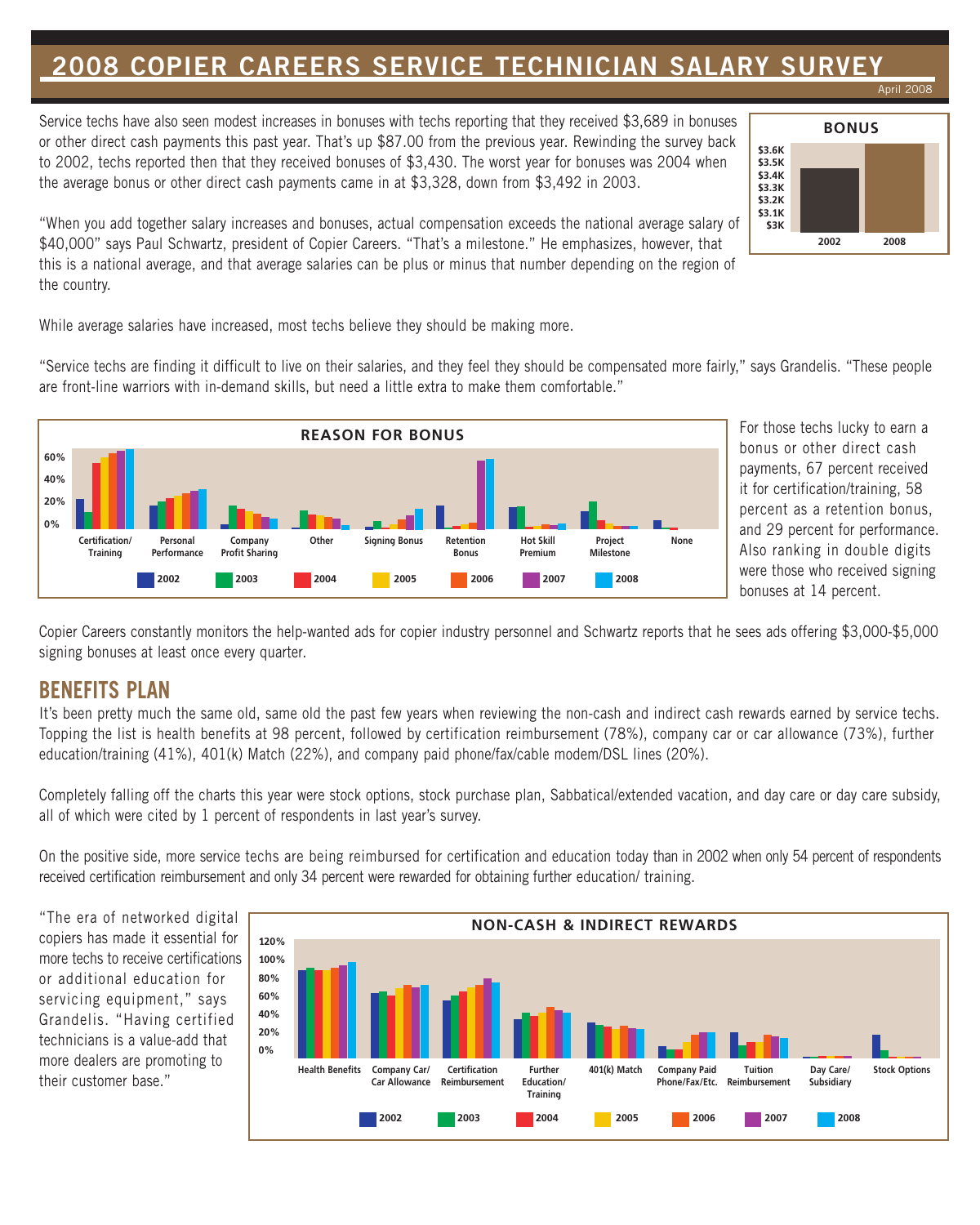## **2008 COPIER CAREERS SERVICE TECHNICIAN SALARY SURVEY**

Service techs have also seen modest increases in bonuses with techs reporting that they received \$3,689 in bonuses or other direct cash payments this past year. That's up \$87.00 from the previous year. Rewinding the survey back to 2002, techs reported then that they received bonuses of \$3,430. The worst year for bonuses was 2004 when the average bonus or other direct cash payments came in at \$3,328, down from \$3,492 in 2003.



April 2008

"When you add together salary increases and bonuses, actual compensation exceeds the national average salary of \$40,000" says Paul Schwartz, president of Copier Careers. "That's a milestone." He emphasizes, however, that this is a national average, and that average salaries can be plus or minus that number depending on the region of the country.

While average salaries have increased, most techs believe they should be making more.

"Service techs are finding it difficult to live on their salaries, and they feel they should be compensated more fairly," says Grandelis. "These people are front-line warriors with in-demand skills, but need a little extra to make them comfortable."



For those techs lucky to earn a bonus or other direct cash payments, 67 percent received it for certification/training, 58 percent as a retention bonus, and 29 percent for performance. Also ranking in double digits were those who received signing bonuses at 14 percent.

Copier Careers constantly monitors the help-wanted ads for copier industry personnel and Schwartz reports that he sees ads offering \$3,000-\$5,000 signing bonuses at least once every quarter.

### **BENEFITS PLAN**

It's been pretty much the same old, same old the past few years when reviewing the non-cash and indirect cash rewards earned by service techs. Topping the list is health benefits at 98 percent, followed by certification reimbursement (78%), company car or car allowance (73%), further education/training (41%), 401(k) Match (22%), and company paid phone/fax/cable modem/DSL lines (20%).

Completely falling off the charts this year were stock options, stock purchase plan, Sabbatical/extended vacation, and day care or day care subsidy, all of which were cited by 1 percent of respondents in last year's survey.

On the positive side, more service techs are being reimbursed for certification and education today than in 2002 when only 54 percent of respondents received certification reimbursement and only 34 percent were rewarded for obtaining further education/ training.

"The era of networked digital copiers has made it essential for more techs to receive certifications or additional education for servicing equipment," says Grandelis. "Having certified technicians is a value-add that more dealers are promoting to their customer base."

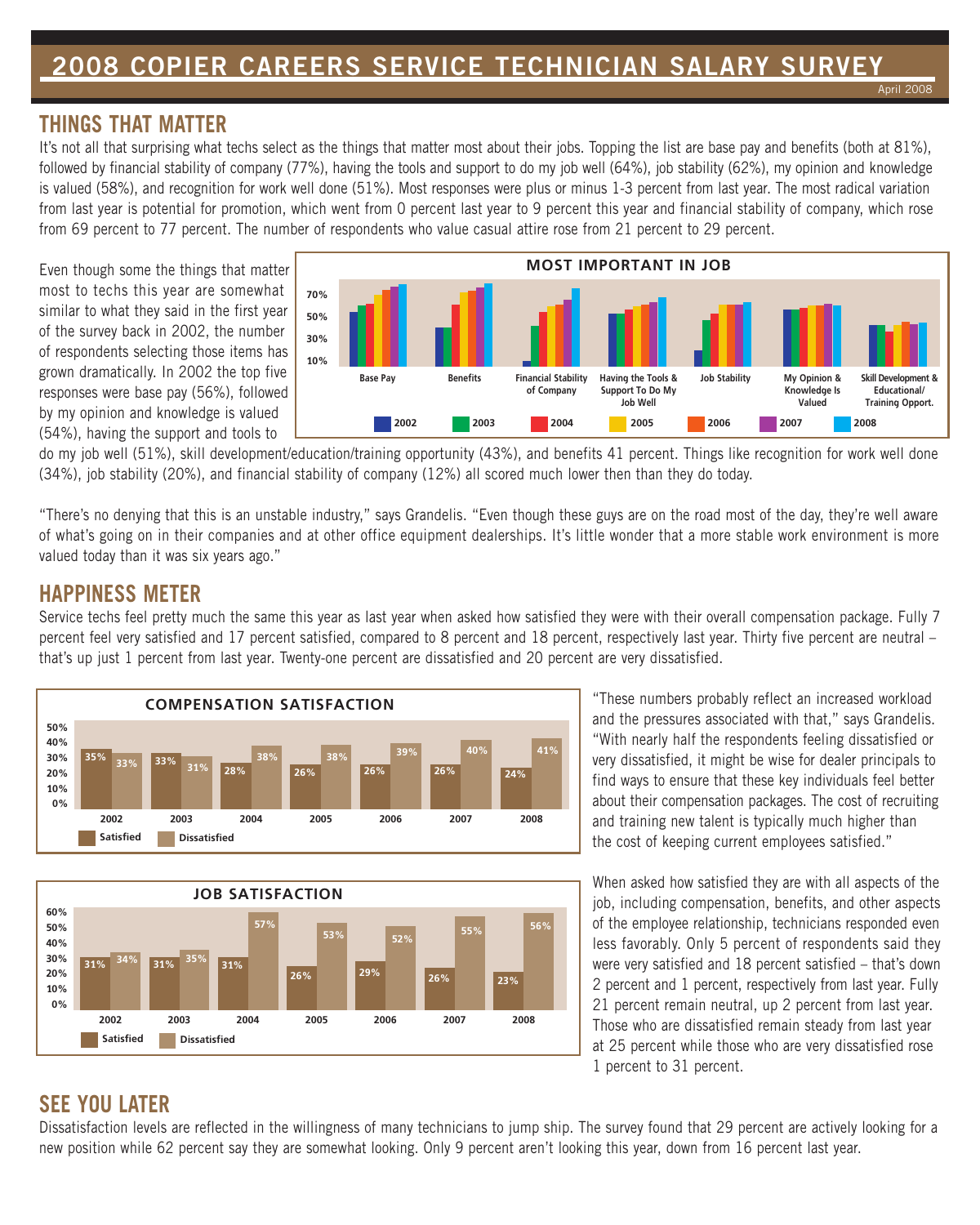#### **THINGS THAT MATTER**

It's not all that surprising what techs select as the things that matter most about their jobs. Topping the list are base pay and benefits (both at 81%), followed by financial stability of company (77%), having the tools and support to do my job well (64%), job stability (62%), my opinion and knowledge is valued (58%), and recognition for work well done (51%). Most responses were plus or minus 1-3 percent from last year. The most radical variation from last year is potential for promotion, which went from 0 percent last year to 9 percent this year and financial stability of company, which rose from 69 percent to 77 percent. The number of respondents who value casual attire rose from 21 percent to 29 percent.

Even though some the things that matter most to techs this year are somewhat similar to what they said in the first year of the survey back in 2002, the number of respondents selecting those items has grown dramatically. In 2002 the top five responses were base pay (56%), followed by my opinion and knowledge is valued (54%), having the support and tools to



do my job well (51%), skill development/education/training opportunity (43%), and benefits 41 percent. Things like recognition for work well done (34%), job stability (20%), and financial stability of company (12%) all scored much lower then than they do today.

"There's no denying that this is an unstable industry," says Grandelis. "Even though these guys are on the road most of the day, they're well aware of what's going on in their companies and at other office equipment dealerships. It's little wonder that a more stable work environment is more valued today than it was six years ago."

#### **HAPPINESS METER**

Service techs feel pretty much the same this year as last year when asked how satisfied they were with their overall compensation package. Fully 7 percent feel very satisfied and 17 percent satisfied, compared to 8 percent and 18 percent, respectively last year. Thirty five percent are neutral – that's up just 1 percent from last year. Twenty-one percent are dissatisfied and 20 percent are very dissatisfied.





"These numbers probably reflect an increased workload and the pressures associated with that," says Grandelis. "With nearly half the respondents feeling dissatisfied or very dissatisfied, it might be wise for dealer principals to find ways to ensure that these key individuals feel better about their compensation packages. The cost of recruiting and training new talent is typically much higher than the cost of keeping current employees satisfied."

When asked how satisfied they are with all aspects of the job, including compensation, benefits, and other aspects of the employee relationship, technicians responded even less favorably. Only 5 percent of respondents said they were very satisfied and 18 percent satisfied – that's down 2 percent and 1 percent, respectively from last year. Fully 21 percent remain neutral, up 2 percent from last year. Those who are dissatisfied remain steady from last year at 25 percent while those who are very dissatisfied rose 1 percent to 31 percent.

## **SEE YOU LATER**

Dissatisfaction levels are reflected in the willingness of many technicians to jump ship. The survey found that 29 percent are actively looking for a new position while 62 percent say they are somewhat looking. Only 9 percent aren't looking this year, down from 16 percent last year.